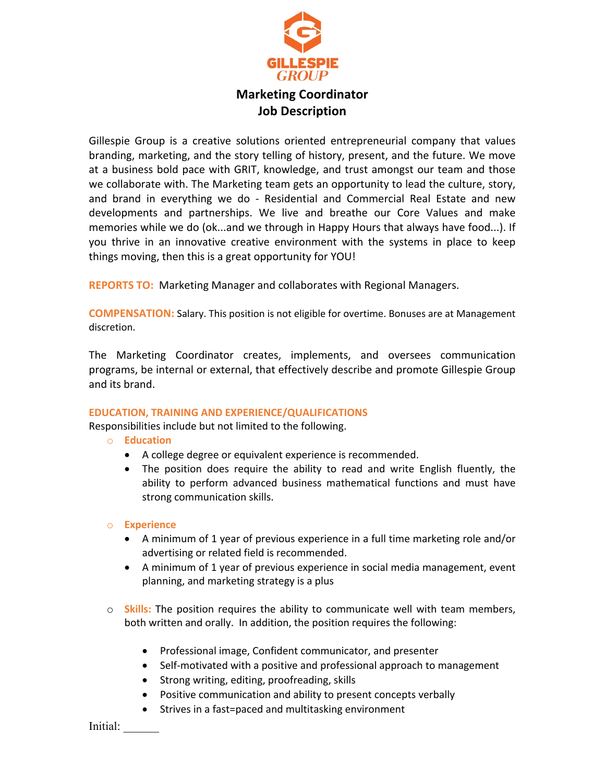

# **Marketing Coordinator Job Description**

Gillespie Group is a creative solutions oriented entrepreneurial company that values branding, marketing, and the story telling of history, present, and the future. We move at a business bold pace with GRIT, knowledge, and trust amongst our team and those we collaborate with. The Marketing team gets an opportunity to lead the culture, story, and brand in everything we do - Residential and Commercial Real Estate and new developments and partnerships. We live and breathe our Core Values and make memories while we do (ok...and we through in Happy Hours that always have food...). If you thrive in an innovative creative environment with the systems in place to keep things moving, then this is a great opportunity for YOU!

**REPORTS TO:** Marketing Manager and collaborates with Regional Managers.

**COMPENSATION:** Salary. This position is not eligible for overtime. Bonuses are at Management discretion.

The Marketing Coordinator creates, implements, and oversees communication programs, be internal or external, that effectively describe and promote Gillespie Group and its brand.

## **EDUCATION, TRAINING AND EXPERIENCE/QUALIFICATIONS**

Responsibilities include but not limited to the following.

- o **Education**
	- A college degree or equivalent experience is recommended.
	- The position does require the ability to read and write English fluently, the ability to perform advanced business mathematical functions and must have strong communication skills.

## o **Experience**

- A minimum of 1 year of previous experience in a full time marketing role and/or advertising or related field is recommended.
- A minimum of 1 year of previous experience in social media management, event planning, and marketing strategy is a plus
- o **Skills:** The position requires the ability to communicate well with team members, both written and orally. In addition, the position requires the following:
	- Professional image, Confident communicator, and presenter
	- Self-motivated with a positive and professional approach to management
	- Strong writing, editing, proofreading, skills
	- Positive communication and ability to present concepts verbally
	- Strives in a fast=paced and multitasking environment

Initial: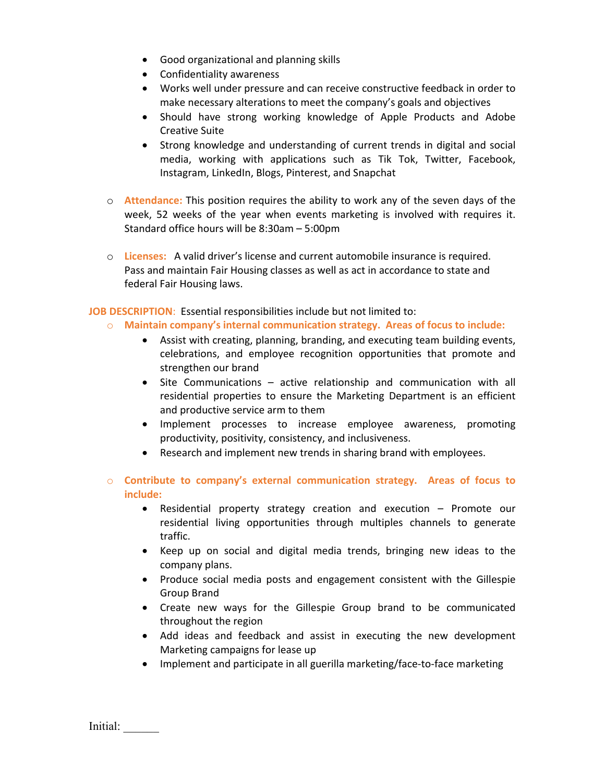- Good organizational and planning skills
- Confidentiality awareness
- Works well under pressure and can receive constructive feedback in order to make necessary alterations to meet the company's goals and objectives
- Should have strong working knowledge of Apple Products and Adobe Creative Suite
- Strong knowledge and understanding of current trends in digital and social media, working with applications such as Tik Tok, Twitter, Facebook, Instagram, LinkedIn, Blogs, Pinterest, and Snapchat
- o **Attendance:** This position requires the ability to work any of the seven days of the week, 52 weeks of the year when events marketing is involved with requires it. Standard office hours will be 8:30am – 5:00pm
- o **Licenses:** A valid driver's license and current automobile insurance is required. Pass and maintain Fair Housing classes as well as act in accordance to state and federal Fair Housing laws.

**JOB DESCRIPTION**: Essential responsibilities include but not limited to:

- o **Maintain company's internal communication strategy. Areas of focus to include:**
	- Assist with creating, planning, branding, and executing team building events, celebrations, and employee recognition opportunities that promote and strengthen our brand
	- Site Communications active relationship and communication with all residential properties to ensure the Marketing Department is an efficient and productive service arm to them
	- Implement processes to increase employee awareness, promoting productivity, positivity, consistency, and inclusiveness.
	- Research and implement new trends in sharing brand with employees.
- o **Contribute to company's external communication strategy. Areas of focus to include:**
	- Residential property strategy creation and execution Promote our residential living opportunities through multiples channels to generate traffic.
	- Keep up on social and digital media trends, bringing new ideas to the company plans.
	- Produce social media posts and engagement consistent with the Gillespie Group Brand
	- Create new ways for the Gillespie Group brand to be communicated throughout the region
	- Add ideas and feedback and assist in executing the new development Marketing campaigns for lease up
	- Implement and participate in all guerilla marketing/face-to-face marketing

Initial: